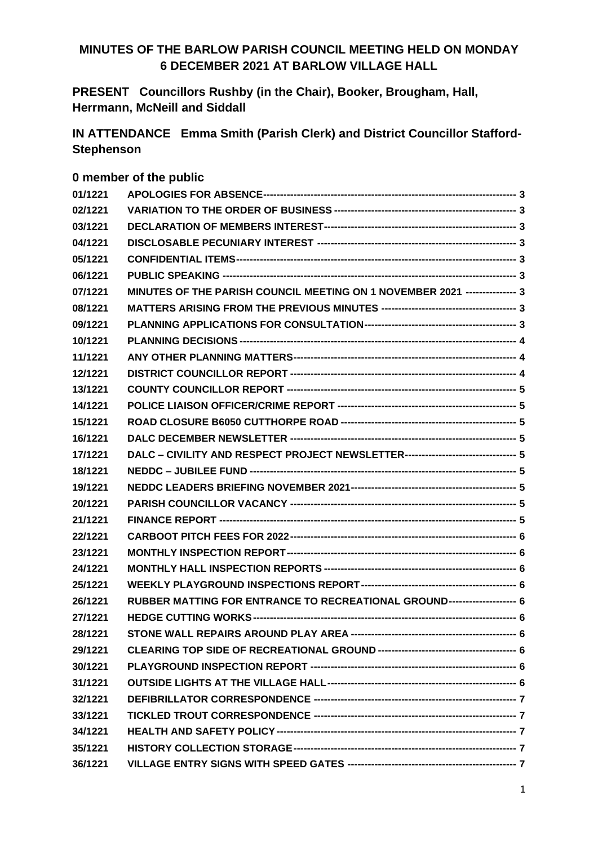#### **MINUTES OF THE BARLOW PARISH COUNCIL MEETING HELD ON MONDAY 6 DECEMBER 2021 AT BARLOW VILLAGE HALL**

**PRESENT Councillors Rushby (in the Chair), Booker, Brougham, Hall, Herrmann, McNeill and Siddall**

**IN ATTENDANCE Emma Smith (Parish Clerk) and District Councillor Stafford-Stephenson**

#### **0 member of the public**

| 01/1221 |                                                                                   |  |
|---------|-----------------------------------------------------------------------------------|--|
| 02/1221 |                                                                                   |  |
| 03/1221 |                                                                                   |  |
| 04/1221 |                                                                                   |  |
| 05/1221 |                                                                                   |  |
| 06/1221 |                                                                                   |  |
| 07/1221 | MINUTES OF THE PARISH COUNCIL MEETING ON 1 NOVEMBER 2021 --------------- 3        |  |
| 08/1221 |                                                                                   |  |
| 09/1221 |                                                                                   |  |
| 10/1221 |                                                                                   |  |
| 11/1221 |                                                                                   |  |
| 12/1221 |                                                                                   |  |
| 13/1221 |                                                                                   |  |
| 14/1221 |                                                                                   |  |
| 15/1221 |                                                                                   |  |
| 16/1221 |                                                                                   |  |
| 17/1221 | DALC - CIVILITY AND RESPECT PROJECT NEWSLETTER--------------------------------- 5 |  |
| 18/1221 |                                                                                   |  |
| 19/1221 |                                                                                   |  |
| 20/1221 |                                                                                   |  |
| 21/1221 |                                                                                   |  |
| 22/1221 |                                                                                   |  |
| 23/1221 |                                                                                   |  |
| 24/1221 |                                                                                   |  |
| 25/1221 |                                                                                   |  |
| 26/1221 | RUBBER MATTING FOR ENTRANCE TO RECREATIONAL GROUND------------------- 6           |  |
| 27/1221 |                                                                                   |  |
| 28/1221 |                                                                                   |  |
| 29/1221 |                                                                                   |  |
| 30/1221 |                                                                                   |  |
| 31/1221 |                                                                                   |  |
| 32/1221 |                                                                                   |  |
| 33/1221 |                                                                                   |  |
| 34/1221 |                                                                                   |  |
| 35/1221 |                                                                                   |  |
| 36/1221 |                                                                                   |  |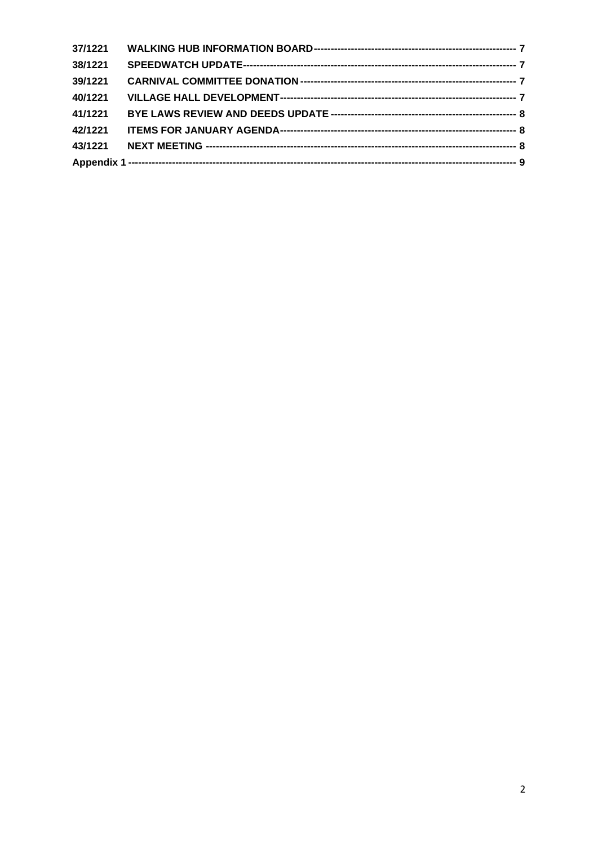| 37/1221 |  |
|---------|--|
| 38/1221 |  |
| 39/1221 |  |
| 40/1221 |  |
| 41/1221 |  |
| 42/1221 |  |
|         |  |
|         |  |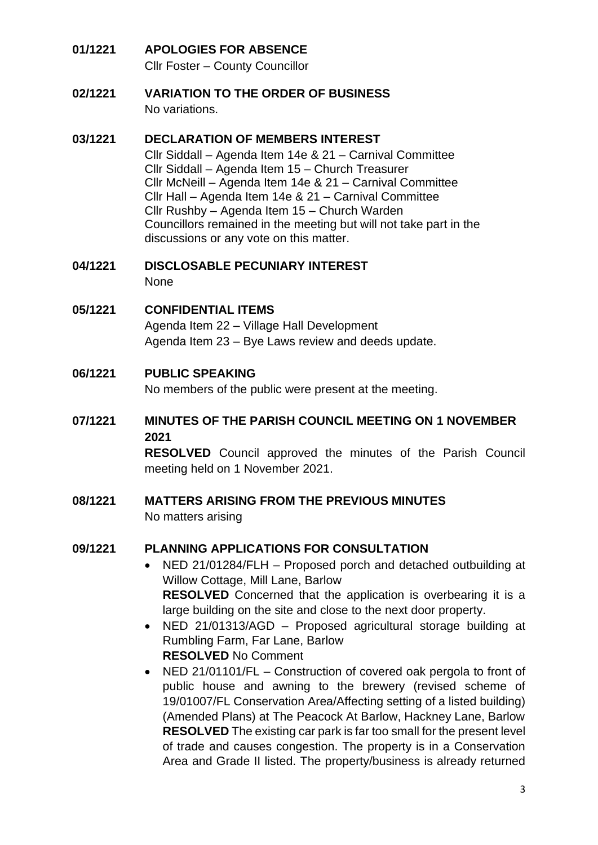## <span id="page-2-0"></span>**01/1221 APOLOGIES FOR ABSENCE**

Cllr Foster – County Councillor

<span id="page-2-1"></span>**02/1221 VARIATION TO THE ORDER OF BUSINESS** No variations.

#### <span id="page-2-2"></span>**03/1221 DECLARATION OF MEMBERS INTEREST**

Cllr Siddall – Agenda Item 14e & 21 – Carnival Committee Cllr Siddall – Agenda Item 15 – Church Treasurer Cllr McNeill – Agenda Item 14e & 21 – Carnival Committee Cllr Hall – Agenda Item 14e & 21 – Carnival Committee Cllr Rushby – Agenda Item 15 – Church Warden Councillors remained in the meeting but will not take part in the discussions or any vote on this matter.

# <span id="page-2-3"></span>**04/1221 DISCLOSABLE PECUNIARY INTEREST**

None

#### <span id="page-2-4"></span>**05/1221 CONFIDENTIAL ITEMS**

Agenda Item 22 – Village Hall Development Agenda Item 23 – Bye Laws review and deeds update.

#### <span id="page-2-5"></span>**06/1221 PUBLIC SPEAKING**

No members of the public were present at the meeting.

## <span id="page-2-6"></span>**07/1221 MINUTES OF THE PARISH COUNCIL MEETING ON 1 NOVEMBER 2021**

**RESOLVED** Council approved the minutes of the Parish Council meeting held on 1 November 2021.

#### <span id="page-2-7"></span>**08/1221 MATTERS ARISING FROM THE PREVIOUS MINUTES**  No matters arising

#### <span id="page-2-8"></span>**09/1221 PLANNING APPLICATIONS FOR CONSULTATION**

- NED 21/01284/FLH Proposed porch and detached outbuilding at Willow Cottage, Mill Lane, Barlow **RESOLVED** Concerned that the application is overbearing it is a large building on the site and close to the next door property.
- NED 21/01313/AGD Proposed agricultural storage building at Rumbling Farm, Far Lane, Barlow **RESOLVED** No Comment
- NED 21/01101/FL Construction of covered oak pergola to front of public house and awning to the brewery (revised scheme of 19/01007/FL Conservation Area/Affecting setting of a listed building) (Amended Plans) at The Peacock At Barlow, Hackney Lane, Barlow **RESOLVED** The existing car park is far too small for the present level of trade and causes congestion. The property is in a Conservation Area and Grade II listed. The property/business is already returned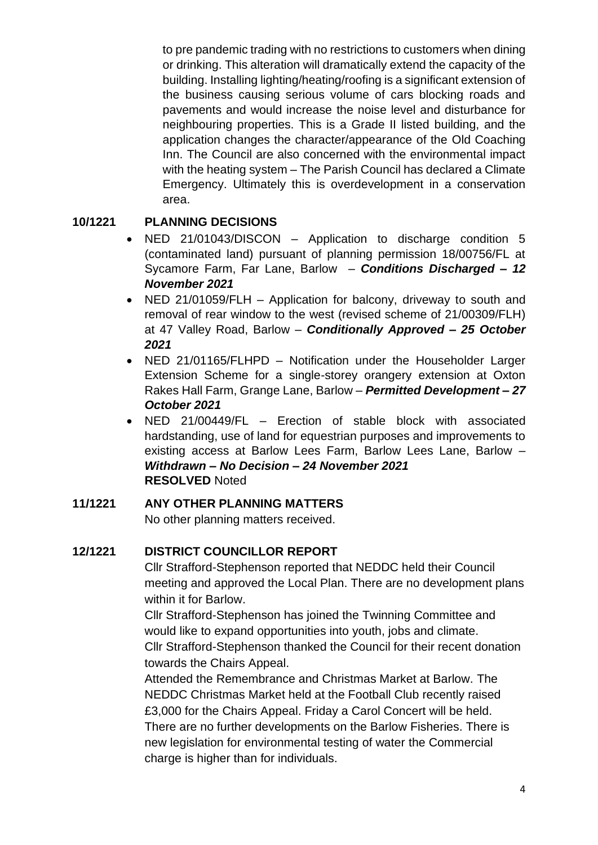to pre pandemic trading with no restrictions to customers when dining or drinking. This alteration will dramatically extend the capacity of the building. Installing lighting/heating/roofing is a significant extension of the business causing serious volume of cars blocking roads and pavements and would increase the noise level and disturbance for neighbouring properties. This is a Grade II listed building, and the application changes the character/appearance of the Old Coaching Inn. The Council are also concerned with the environmental impact with the heating system – The Parish Council has declared a Climate Emergency. Ultimately this is overdevelopment in a conservation area.

### <span id="page-3-0"></span>**10/1221 PLANNING DECISIONS**

- NED 21/01043/DISCON Application to discharge condition 5 (contaminated land) pursuant of planning permission 18/00756/FL at Sycamore Farm, Far Lane, Barlow – *Conditions Discharged – 12 November 2021*
- NED 21/01059/FLH Application for balcony, driveway to south and removal of rear window to the west (revised scheme of 21/00309/FLH) at 47 Valley Road, Barlow – *Conditionally Approved – 25 October 2021*
- NED 21/01165/FLHPD Notification under the Householder Larger Extension Scheme for a single-storey orangery extension at Oxton Rakes Hall Farm, Grange Lane, Barlow – *Permitted Development – 27 October 2021*
- NED 21/00449/FL Erection of stable block with associated hardstanding, use of land for equestrian purposes and improvements to existing access at Barlow Lees Farm, Barlow Lees Lane, Barlow – *Withdrawn – No Decision – 24 November 2021* **RESOLVED** Noted

#### <span id="page-3-1"></span>**11/1221 ANY OTHER PLANNING MATTERS**

No other planning matters received.

#### <span id="page-3-2"></span>**12/1221 DISTRICT COUNCILLOR REPORT**

Cllr Strafford-Stephenson reported that NEDDC held their Council meeting and approved the Local Plan. There are no development plans within it for Barlow.

Cllr Strafford-Stephenson has joined the Twinning Committee and would like to expand opportunities into youth, jobs and climate. Cllr Strafford-Stephenson thanked the Council for their recent donation towards the Chairs Appeal.

Attended the Remembrance and Christmas Market at Barlow. The NEDDC Christmas Market held at the Football Club recently raised £3,000 for the Chairs Appeal. Friday a Carol Concert will be held. There are no further developments on the Barlow Fisheries. There is new legislation for environmental testing of water the Commercial charge is higher than for individuals.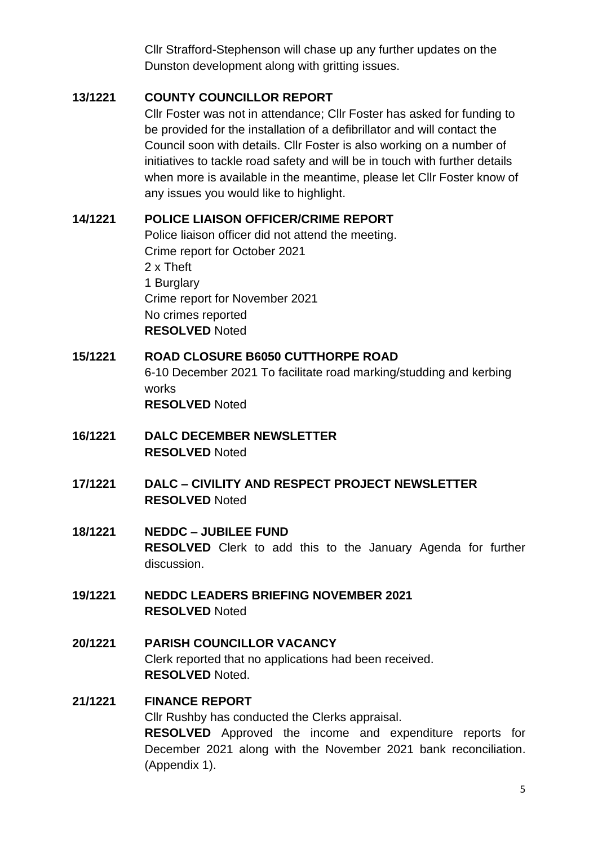Cllr Strafford-Stephenson will chase up any further updates on the Dunston development along with gritting issues.

#### <span id="page-4-0"></span>**13/1221 COUNTY COUNCILLOR REPORT**

Cllr Foster was not in attendance; Cllr Foster has asked for funding to be provided for the installation of a defibrillator and will contact the Council soon with details. Cllr Foster is also working on a number of initiatives to tackle road safety and will be in touch with further details when more is available in the meantime, please let Cllr Foster know of any issues you would like to highlight.

#### <span id="page-4-1"></span>**14/1221 POLICE LIAISON OFFICER/CRIME REPORT**

Police liaison officer did not attend the meeting. Crime report for October 2021 2 x Theft 1 Burglary Crime report for November 2021 No crimes reported **RESOLVED** Noted

## <span id="page-4-2"></span>**15/1221 ROAD CLOSURE B6050 CUTTHORPE ROAD** 6-10 December 2021 To facilitate road marking/studding and kerbing works **RESOLVED** Noted

- <span id="page-4-3"></span>**16/1221 DALC DECEMBER NEWSLETTER RESOLVED** Noted
- <span id="page-4-4"></span>**17/1221 DALC – CIVILITY AND RESPECT PROJECT NEWSLETTER RESOLVED** Noted

#### <span id="page-4-5"></span>**18/1221 NEDDC – JUBILEE FUND RESOLVED** Clerk to add this to the January Agenda for further discussion.

- <span id="page-4-6"></span>**19/1221 NEDDC LEADERS BRIEFING NOVEMBER 2021 RESOLVED** Noted
- <span id="page-4-7"></span>**20/1221 PARISH COUNCILLOR VACANCY**  Clerk reported that no applications had been received. **RESOLVED** Noted.

#### <span id="page-4-8"></span>**21/1221 FINANCE REPORT**

Cllr Rushby has conducted the Clerks appraisal. **RESOLVED** Approved the income and expenditure reports for December 2021 along with the November 2021 bank reconciliation. (Appendix 1).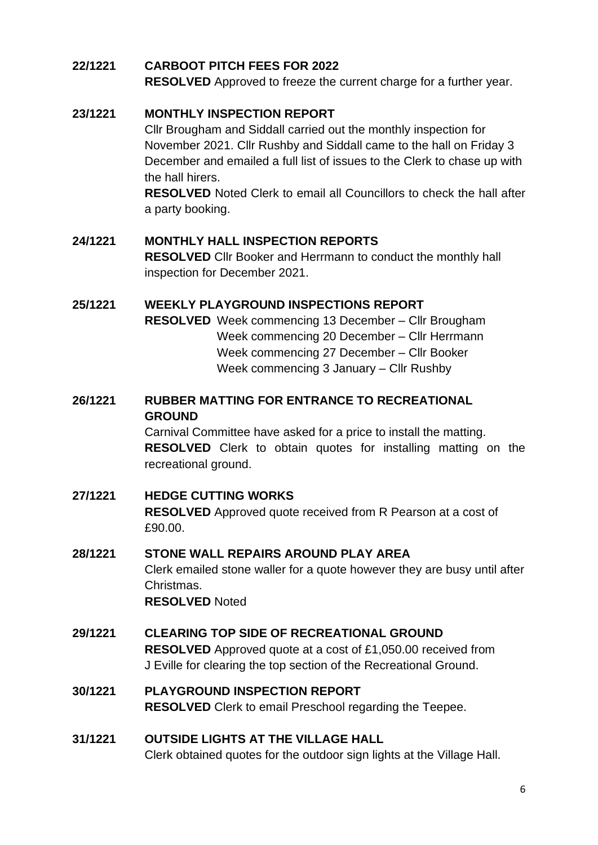#### <span id="page-5-0"></span>**22/1221 CARBOOT PITCH FEES FOR 2022**

**RESOLVED** Approved to freeze the current charge for a further year.

#### <span id="page-5-1"></span>**23/1221 MONTHLY INSPECTION REPORT**

Cllr Brougham and Siddall carried out the monthly inspection for November 2021. Cllr Rushby and Siddall came to the hall on Friday 3 December and emailed a full list of issues to the Clerk to chase up with the hall hirers.

**RESOLVED** Noted Clerk to email all Councillors to check the hall after a party booking.

#### <span id="page-5-2"></span>**24/1221 MONTHLY HALL INSPECTION REPORTS**

**RESOLVED** Cllr Booker and Herrmann to conduct the monthly hall inspection for December 2021.

#### <span id="page-5-3"></span>**25/1221 WEEKLY PLAYGROUND INSPECTIONS REPORT**

**RESOLVED** Week commencing 13 December – Cllr Brougham Week commencing 20 December – Cllr Herrmann Week commencing 27 December – Cllr Booker Week commencing 3 January – Cllr Rushby

#### <span id="page-5-4"></span>**26/1221 RUBBER MATTING FOR ENTRANCE TO RECREATIONAL GROUND**

Carnival Committee have asked for a price to install the matting. **RESOLVED** Clerk to obtain quotes for installing matting on the recreational ground.

#### <span id="page-5-5"></span>**27/1221 HEDGE CUTTING WORKS**

**RESOLVED** Approved quote received from R Pearson at a cost of £90.00.

## <span id="page-5-6"></span>**28/1221 STONE WALL REPAIRS AROUND PLAY AREA** Clerk emailed stone waller for a quote however they are busy until after Christmas.

**RESOLVED** Noted

<span id="page-5-7"></span>**29/1221 CLEARING TOP SIDE OF RECREATIONAL GROUND RESOLVED** Approved quote at a cost of £1,050.00 received from J Eville for clearing the top section of the Recreational Ground.

#### <span id="page-5-8"></span>**30/1221 PLAYGROUND INSPECTION REPORT RESOLVED** Clerk to email Preschool regarding the Teepee.

#### <span id="page-5-9"></span>**31/1221 OUTSIDE LIGHTS AT THE VILLAGE HALL** Clerk obtained quotes for the outdoor sign lights at the Village Hall.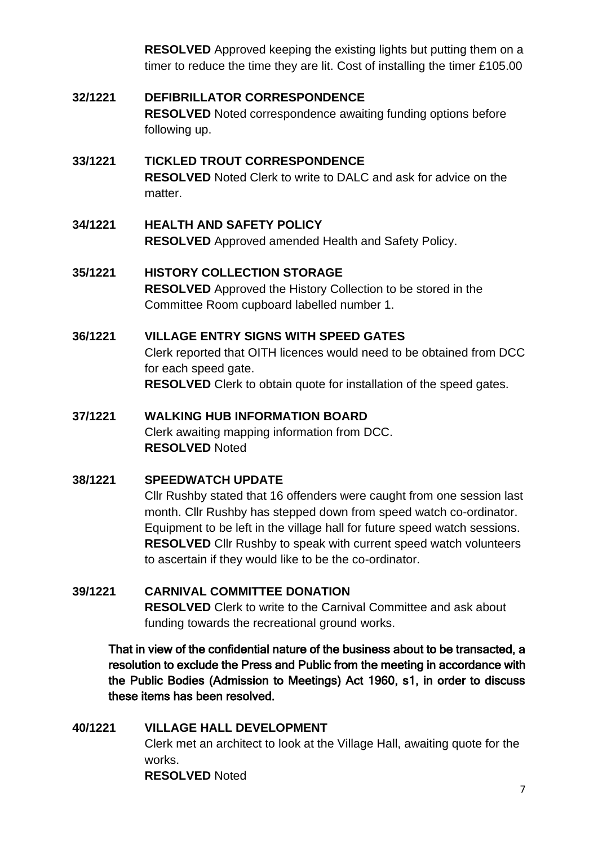**RESOLVED** Approved keeping the existing lights but putting them on a timer to reduce the time they are lit. Cost of installing the timer £105.00

## <span id="page-6-0"></span>**32/1221 DEFIBRILLATOR CORRESPONDENCE RESOLVED** Noted correspondence awaiting funding options before following up.

#### <span id="page-6-1"></span>**33/1221 TICKLED TROUT CORRESPONDENCE RESOLVED** Noted Clerk to write to DALC and ask for advice on the matter.

### <span id="page-6-2"></span>**34/1221 HEALTH AND SAFETY POLICY RESOLVED** Approved amended Health and Safety Policy.

## <span id="page-6-3"></span>**35/1221 HISTORY COLLECTION STORAGE RESOLVED** Approved the History Collection to be stored in the Committee Room cupboard labelled number 1.

### <span id="page-6-4"></span>**36/1221 VILLAGE ENTRY SIGNS WITH SPEED GATES**

Clerk reported that OITH licences would need to be obtained from DCC for each speed gate. **RESOLVED** Clerk to obtain quote for installation of the speed gates.

## <span id="page-6-5"></span>**37/1221 WALKING HUB INFORMATION BOARD** Clerk awaiting mapping information from DCC. **RESOLVED** Noted

## <span id="page-6-6"></span>**38/1221 SPEEDWATCH UPDATE**

Cllr Rushby stated that 16 offenders were caught from one session last month. Cllr Rushby has stepped down from speed watch co-ordinator. Equipment to be left in the village hall for future speed watch sessions. **RESOLVED** Cllr Rushby to speak with current speed watch volunteers to ascertain if they would like to be the co-ordinator.

## <span id="page-6-7"></span>**39/1221 CARNIVAL COMMITTEE DONATION RESOLVED** Clerk to write to the Carnival Committee and ask about funding towards the recreational ground works.

That in view of the confidential nature of the business about to be transacted, a resolution to exclude the Press and Public from the meeting in accordance with the Public Bodies (Admission to Meetings) Act 1960, s1, in order to discuss these items has been resolved.

<span id="page-6-8"></span>**40/1221 VILLAGE HALL DEVELOPMENT** Clerk met an architect to look at the Village Hall, awaiting quote for the works. **RESOLVED** Noted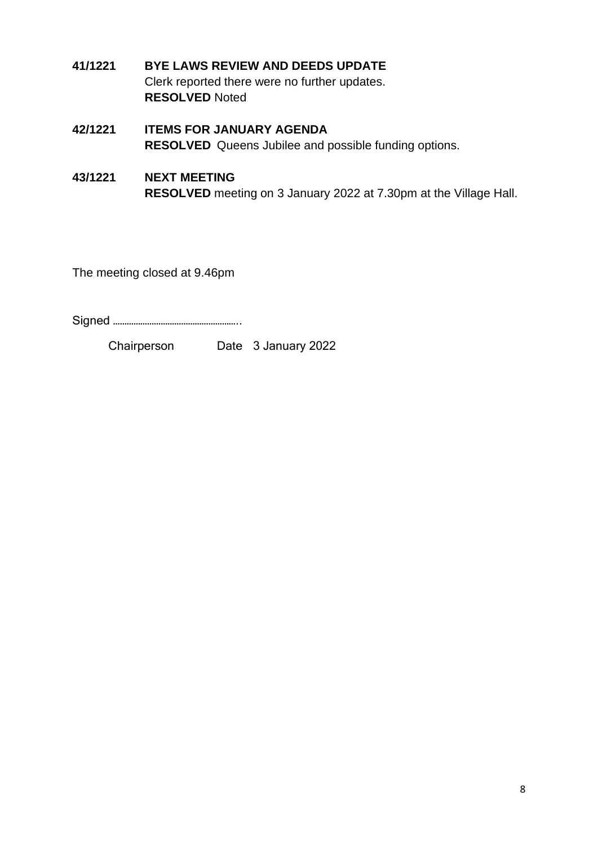- <span id="page-7-0"></span>**41/1221 BYE LAWS REVIEW AND DEEDS UPDATE** Clerk reported there were no further updates. **RESOLVED** Noted
- <span id="page-7-1"></span>**42/1221 ITEMS FOR JANUARY AGENDA RESOLVED** Queens Jubilee and possible funding options.
- <span id="page-7-2"></span>**43/1221 NEXT MEETING RESOLVED** meeting on 3 January 2022 at 7.30pm at the Village Hall.

The meeting closed at 9.46pm

Signed ………………………………………………..

Chairperson Date 3 January 2022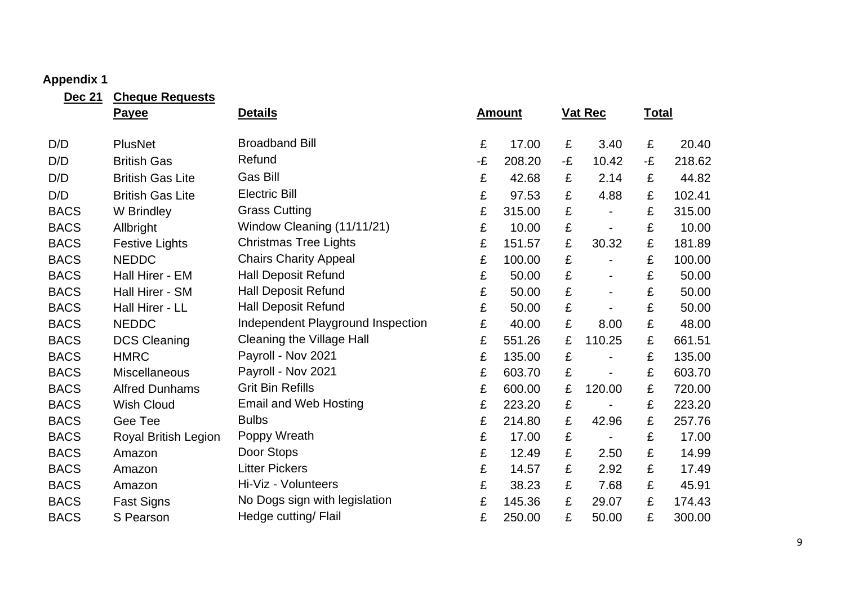## **Appendix 1**

<span id="page-8-0"></span>

| <b>Dec 21</b> | <b>Cheque Requests</b>  |                                   |    |               |    |                          |              |        |
|---------------|-------------------------|-----------------------------------|----|---------------|----|--------------------------|--------------|--------|
|               | Payee                   | <b>Details</b>                    |    | <u>Amount</u> |    | <b>Vat Rec</b>           | <b>Total</b> |        |
| D/D           | <b>PlusNet</b>          | <b>Broadband Bill</b>             | £  | 17.00         | £  | 3.40                     | £            | 20.40  |
| D/D           | <b>British Gas</b>      | Refund                            | -£ | 208.20        | -£ | 10.42                    | -£           | 218.62 |
| D/D           | <b>British Gas Lite</b> | <b>Gas Bill</b>                   | £  | 42.68         | £  | 2.14                     | £            | 44.82  |
| D/D           | <b>British Gas Lite</b> | <b>Electric Bill</b>              | £  | 97.53         | £  | 4.88                     | £            | 102.41 |
| <b>BACS</b>   | <b>W</b> Brindley       | <b>Grass Cutting</b>              | £  | 315.00        | £  |                          | £            | 315.00 |
| <b>BACS</b>   | Allbright               | Window Cleaning (11/11/21)        | £  | 10.00         | £  |                          | £            | 10.00  |
| <b>BACS</b>   | <b>Festive Lights</b>   | <b>Christmas Tree Lights</b>      | £  | 151.57        | £  | 30.32                    | £            | 181.89 |
| <b>BACS</b>   | <b>NEDDC</b>            | <b>Chairs Charity Appeal</b>      | £  | 100.00        | £  |                          | £            | 100.00 |
| <b>BACS</b>   | Hall Hirer - EM         | <b>Hall Deposit Refund</b>        | £  | 50.00         | £  |                          | £            | 50.00  |
| <b>BACS</b>   | Hall Hirer - SM         | <b>Hall Deposit Refund</b>        | £  | 50.00         | £  |                          | £            | 50.00  |
| <b>BACS</b>   | Hall Hirer - LL         | <b>Hall Deposit Refund</b>        | £  | 50.00         | £  |                          | £            | 50.00  |
| <b>BACS</b>   | <b>NEDDC</b>            | Independent Playground Inspection | £  | 40.00         | £  | 8.00                     | £            | 48.00  |
| <b>BACS</b>   | <b>DCS Cleaning</b>     | <b>Cleaning the Village Hall</b>  | £  | 551.26        | £  | 110.25                   | £            | 661.51 |
| <b>BACS</b>   | <b>HMRC</b>             | Payroll - Nov 2021                | £  | 135.00        | £  |                          | £            | 135.00 |
| <b>BACS</b>   | <b>Miscellaneous</b>    | Payroll - Nov 2021                | £  | 603.70        | £  |                          | £            | 603.70 |
| <b>BACS</b>   | <b>Alfred Dunhams</b>   | <b>Grit Bin Refills</b>           | £  | 600.00        | £  | 120.00                   | £            | 720.00 |
| <b>BACS</b>   | <b>Wish Cloud</b>       | <b>Email and Web Hosting</b>      | £  | 223.20        | £  |                          | £            | 223.20 |
| <b>BACS</b>   | Gee Tee                 | <b>Bulbs</b>                      | £  | 214.80        | £  | 42.96                    | £            | 257.76 |
| <b>BACS</b>   | Royal British Legion    | Poppy Wreath                      | £  | 17.00         | £  | $\overline{\phantom{a}}$ | £            | 17.00  |
| <b>BACS</b>   | Amazon                  | Door Stops                        | £  | 12.49         | £  | 2.50                     | £            | 14.99  |
| <b>BACS</b>   | Amazon                  | <b>Litter Pickers</b>             | £  | 14.57         | £  | 2.92                     | £            | 17.49  |
| <b>BACS</b>   | Amazon                  | Hi-Viz - Volunteers               | £  | 38.23         | £  | 7.68                     | £            | 45.91  |
| <b>BACS</b>   | <b>Fast Signs</b>       | No Dogs sign with legislation     | £  | 145.36        | £  | 29.07                    | £            | 174.43 |
| <b>BACS</b>   | S Pearson               | Hedge cutting/ Flail              | £  | 250.00        | £  | 50.00                    | £            | 300.00 |